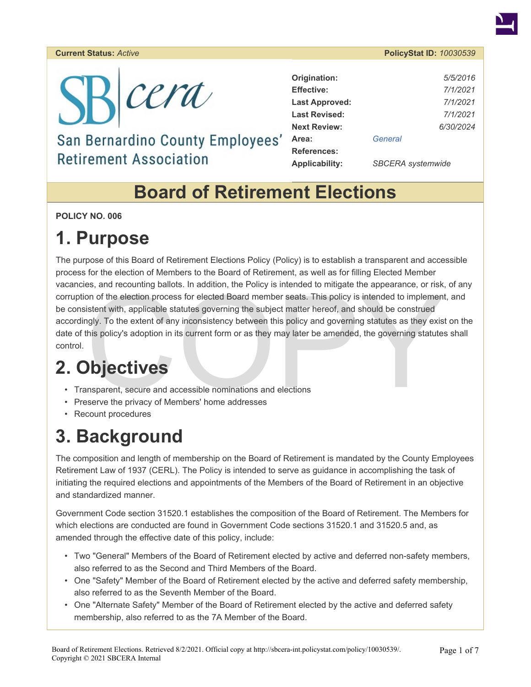#### **Current Status:** *Active* **PolicyStat ID:** *10030539*



#### San Bernardino County Employees' **Retirement Association**

| Origination:          | 5/5/2016                 |  |
|-----------------------|--------------------------|--|
| <b>Effective:</b>     | 7/1/2021                 |  |
| <b>Last Approved:</b> | 7/1/2021                 |  |
| <b>Last Revised:</b>  | 7/1/2021                 |  |
| <b>Next Review:</b>   | 6/30/2024                |  |
| Area:                 | General                  |  |
| <b>References:</b>    |                          |  |
| Applicability:        | <b>SBCERA</b> systemwide |  |

#### **Board of Retirement Elections**

**POLICY NO. 006** 

### **1. Purpose**

Example the appearance, or instanting bandles. In addition, the Policy is interlued to imitigate the appearance, or instead on of the election process for elected Board member seats. This policy is intended to implement is The purpose of this Board of Retirement Elections Policy (Policy) is to establish a transparent and accessible process for the election of Members to the Board of Retirement, as well as for filling Elected Member vacancies, and recounting ballots. In addition, the Policy is intended to mitigate the appearance, or risk, of any corruption of the election process for elected Board member seats. This policy is intended to implement, and be consistent with, applicable statutes governing the subject matter hereof, and should be construed accordingly. To the extent of any inconsistency between this policy and governing statutes as they exist on the date of this policy's adoption in its current form or as they may later be amended, the governing statutes shall control.

# **2. Objectives**

- Transparent, secure and accessible nominations and elections
- Preserve the privacy of Members' home addresses
- Recount procedures

## **3. Background**

The composition and length of membership on the Board of Retirement is mandated by the County Employees Retirement Law of 1937 (CERL). The Policy is intended to serve as guidance in accomplishing the task of initiating the required elections and appointments of the Members of the Board of Retirement in an objective and standardized manner.

Government Code section 31520.1 establishes the composition of the Board of Retirement. The Members for which elections are conducted are found in Government Code sections 31520.1 and 31520.5 and, as amended through the effective date of this policy, include:

- Two "General" Members of the Board of Retirement elected by active and deferred non-safety members, also referred to as the Second and Third Members of the Board.
- One "Safety" Member of the Board of Retirement elected by the active and deferred safety membership, also referred to as the Seventh Member of the Board.
- One "Alternate Safety" Member of the Board of Retirement elected by the active and deferred safety membership, also referred to as the 7A Member of the Board.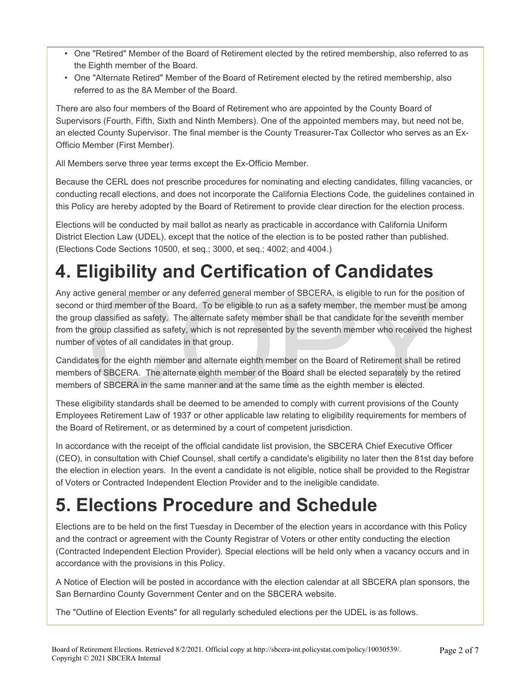- One "Retired" Member of the Board of Retirement elected by the retired membership, also referred to as the Eighth member of the Board.
- One "Alternate Retired" Member of the Board of Retirement elected by the retired membership, also referred to as the 8A Member of the Board.

There are also four members of the Board of Retirement who are appointed by the County Board of Supervisors (Fourth, Fifth, Sixth and Ninth Members). One of the appointed members may, but need not be, an elected County Supervisor. The final member is the County Treasurer-Tax Collector who serves as an Ex-Officio Member (First Member).

All Members serve three year terms except the Ex-Officio Member.

Because the CERL does not prescribe procedures for nominating and electing candidates, filling vacancies, or conducting recall elections, and does not incorporate the California Elections Code, the guidelines contained in this Policy are hereby adopted by the Board of Retirement to provide clear direction for the election process.

Elections will be conducted by mail ballot as nearly as practicable in accordance with California Uniform District Election Law (UDEL), except that the notice of the election is to be posted rather than published. (Elections Code Sections 10500, et seq.; 3000, et seq.; 4002; and 4004.)

# **4. Eligibility and Certification of Candidates**

ive general member or any deferred general member of SBCERA, is eligible to run for the position third member of the Board. To be eligible to run as a safety member, the member must be a up classified as safety. The altern Any active general member or any deferred general member of SBCERA, is eligible to run for the position of second or third member of the Board. To be eligible to run as a safety member, the member must be among the group classified as safety. The alternate safety member shall be that candidate for the seventh member from the group classified as safety, which is not represented by the seventh member who received the highest number of votes of all candidates in that group.

Candidates for the eighth member and alternate eighth member on the Board of Retirement shall be retired members of SBCERA. The alternate eighth member of the Board shall be elected separately by the retired members of SBCERA in the same manner and at the same time as the eighth member is elected.

These eligibility standards shall be deemed to be amended to comply with current provisions of the County Employees Retirement Law of 1937 or other applicable law relating to eligibility requirements for members of the Board of Retirement, or as determined by a court of competent jurisdiction.

In accordance with the receipt of the official candidate list provision, the SBCERA Chief Executive Officer (CEO), in consultation with Chief Counsel, shall certify a candidate's eligibility no later then the 81st day before the election in election years. In the event a candidate is not eligible, notice shall be provided to the Registrar of Voters or Contracted Independent Election Provider and to the ineligible candidate.

# **5. Elections Procedure and Schedule**

Elections are to be held on the first Tuesday in December of the election years in accordance with this Policy and the contract or agreement with the County Registrar of Voters or other entity conducting the election (Contracted Independent Election Provider). Special elections will be held only when a vacancy occurs and in accordance with the provisions in this Policy.

A Notice of Election will be posted in accordance with the election calendar at all SBCERA plan sponsors, the San Bernardino County Government Center and on the SBCERA website.

The "Outline of Election Events" for all regularly scheduled elections per the UDEL is as follows.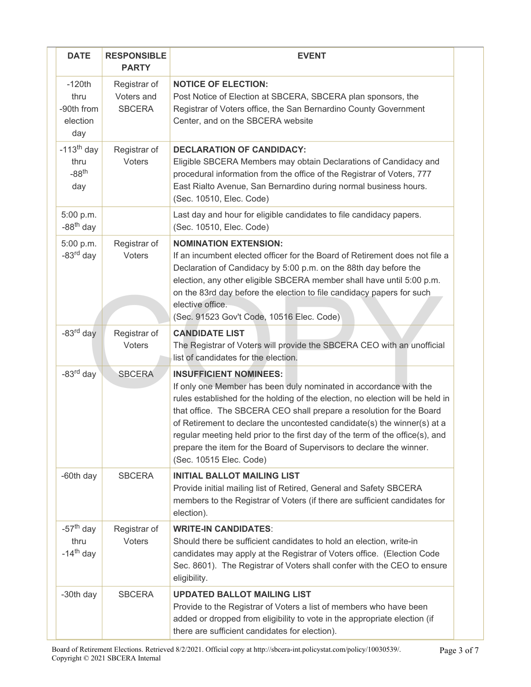| <b>DATE</b>                                                | <b>RESPONSIBLE</b><br><b>PARTY</b>          | <b>EVENT</b>                                                                                                                                                                                                                                                                                                                                                                                                                                                                                                                 |
|------------------------------------------------------------|---------------------------------------------|------------------------------------------------------------------------------------------------------------------------------------------------------------------------------------------------------------------------------------------------------------------------------------------------------------------------------------------------------------------------------------------------------------------------------------------------------------------------------------------------------------------------------|
| $-120th$<br>thru<br>-90th from<br>election<br>day          | Registrar of<br>Voters and<br><b>SBCERA</b> | <b>NOTICE OF ELECTION:</b><br>Post Notice of Election at SBCERA, SBCERA plan sponsors, the<br>Registrar of Voters office, the San Bernardino County Government<br>Center, and on the SBCERA website                                                                                                                                                                                                                                                                                                                          |
| $-113th$ day<br>thru<br>$-88$ <sup>th</sup><br>day         | Registrar of<br>Voters                      | <b>DECLARATION OF CANDIDACY:</b><br>Eligible SBCERA Members may obtain Declarations of Candidacy and<br>procedural information from the office of the Registrar of Voters, 777<br>East Rialto Avenue, San Bernardino during normal business hours.<br>(Sec. 10510, Elec. Code)                                                                                                                                                                                                                                               |
| 5:00 p.m.<br>$-88th$ day                                   |                                             | Last day and hour for eligible candidates to file candidacy papers.<br>(Sec. 10510, Elec. Code)                                                                                                                                                                                                                                                                                                                                                                                                                              |
| 5:00 p.m.<br>$-83rd$ day                                   | Registrar of<br>Voters                      | <b>NOMINATION EXTENSION:</b><br>If an incumbent elected officer for the Board of Retirement does not file a<br>Declaration of Candidacy by 5:00 p.m. on the 88th day before the<br>election, any other eligible SBCERA member shall have until 5:00 p.m.<br>on the 83rd day before the election to file candidacy papers for such<br>elective office.<br>(Sec. 91523 Gov't Code, 10516 Elec. Code)                                                                                                                           |
| $-83rd$ day                                                | Registrar of<br>Voters                      | <b>CANDIDATE LIST</b><br>The Registrar of Voters will provide the SBCERA CEO with an unofficial<br>list of candidates for the election.                                                                                                                                                                                                                                                                                                                                                                                      |
| -83 <sup>rd</sup> day                                      | <b>SBCERA</b>                               | <b>INSUFFICIENT NOMINEES:</b><br>If only one Member has been duly nominated in accordance with the<br>rules established for the holding of the election, no election will be held in<br>that office. The SBCERA CEO shall prepare a resolution for the Board<br>of Retirement to declare the uncontested candidate(s) the winner(s) at a<br>regular meeting held prior to the first day of the term of the office(s), and<br>prepare the item for the Board of Supervisors to declare the winner.<br>(Sec. 10515 Elec. Code) |
| -60th day                                                  | <b>SBCERA</b>                               | <b>INITIAL BALLOT MAILING LIST</b><br>Provide initial mailing list of Retired, General and Safety SBCERA<br>members to the Registrar of Voters (if there are sufficient candidates for<br>election).                                                                                                                                                                                                                                                                                                                         |
| $-57$ <sup>th</sup> day<br>thru<br>$-14$ <sup>th</sup> day | Registrar of<br><b>Voters</b>               | <b>WRITE-IN CANDIDATES:</b><br>Should there be sufficient candidates to hold an election, write-in<br>candidates may apply at the Registrar of Voters office. (Election Code<br>Sec. 8601). The Registrar of Voters shall confer with the CEO to ensure<br>eligibility.                                                                                                                                                                                                                                                      |
| -30th day                                                  | <b>SBCERA</b>                               | <b>UPDATED BALLOT MAILING LIST</b><br>Provide to the Registrar of Voters a list of members who have been<br>added or dropped from eligibility to vote in the appropriate election (if<br>there are sufficient candidates for election).                                                                                                                                                                                                                                                                                      |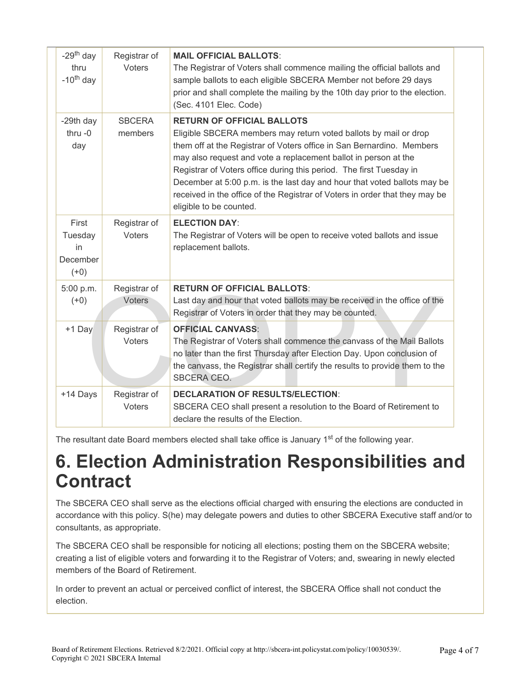| $-29th$ day<br>thru<br>$-10^{th}$ day        | Registrar of<br>Voters        | <b>MAIL OFFICIAL BALLOTS:</b><br>The Registrar of Voters shall commence mailing the official ballots and<br>sample ballots to each eligible SBCERA Member not before 29 days<br>prior and shall complete the mailing by the 10th day prior to the election.<br>(Sec. 4101 Elec. Code)                                                                                                                                                                                                                          |
|----------------------------------------------|-------------------------------|----------------------------------------------------------------------------------------------------------------------------------------------------------------------------------------------------------------------------------------------------------------------------------------------------------------------------------------------------------------------------------------------------------------------------------------------------------------------------------------------------------------|
| -29th day<br>thru $-0$<br>day                | <b>SBCERA</b><br>members      | <b>RETURN OF OFFICIAL BALLOTS</b><br>Eligible SBCERA members may return voted ballots by mail or drop<br>them off at the Registrar of Voters office in San Bernardino. Members<br>may also request and vote a replacement ballot in person at the<br>Registrar of Voters office during this period. The first Tuesday in<br>December at 5:00 p.m. is the last day and hour that voted ballots may be<br>received in the office of the Registrar of Voters in order that they may be<br>eligible to be counted. |
| First<br>Tuesday<br>in<br>December<br>$(+0)$ | Registrar of<br>Voters        | <b>ELECTION DAY:</b><br>The Registrar of Voters will be open to receive voted ballots and issue<br>replacement ballots.                                                                                                                                                                                                                                                                                                                                                                                        |
| 5:00 p.m.<br>$(+0)$                          | Registrar of<br><b>Voters</b> | <b>RETURN OF OFFICIAL BALLOTS:</b><br>Last day and hour that voted ballots may be received in the office of the<br>Registrar of Voters in order that they may be counted.                                                                                                                                                                                                                                                                                                                                      |
| +1 Day                                       | Registrar of<br><b>Voters</b> | <b>OFFICIAL CANVASS:</b><br>The Registrar of Voters shall commence the canvass of the Mail Ballots<br>no later than the first Thursday after Election Day. Upon conclusion of<br>the canvass, the Registrar shall certify the results to provide them to the<br>SBCERA CEO.                                                                                                                                                                                                                                    |
| +14 Days                                     | Registrar of<br>Voters        | <b>DECLARATION OF RESULTS/ELECTION:</b><br>SBCERA CEO shall present a resolution to the Board of Retirement to<br>declare the results of the Election.                                                                                                                                                                                                                                                                                                                                                         |

The resultant date Board members elected shall take office is January 1<sup>st</sup> of the following year.

#### **6. Election Administration Responsibilities and Contract**

The SBCERA CEO shall serve as the elections official charged with ensuring the elections are conducted in accordance with this policy. S(he) may delegate powers and duties to other SBCERA Executive staff and/or to consultants, as appropriate.

The SBCERA CEO shall be responsible for noticing all elections; posting them on the SBCERA website; creating a list of eligible voters and forwarding it to the Registrar of Voters; and, swearing in newly elected members of the Board of Retirement.

In order to prevent an actual or perceived conflict of interest, the SBCERA Office shall not conduct the election.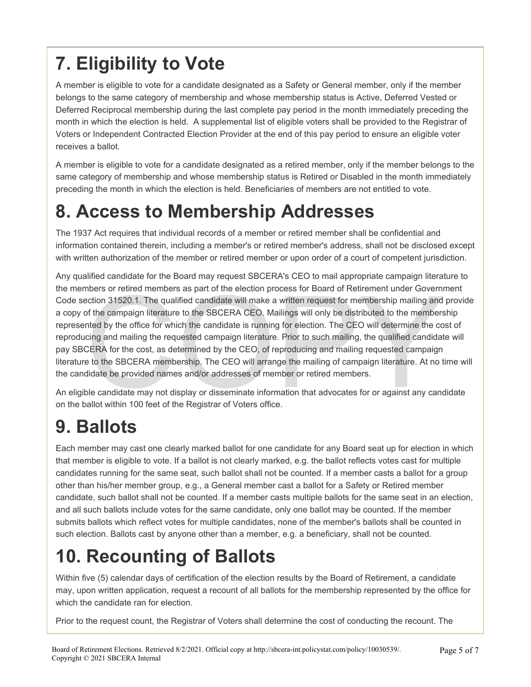# **7. Eligibility to Vote**

A member is eligible to vote for a candidate designated as a Safety or General member, only if the member belongs to the same category of membership and whose membership status is Active, Deferred Vested or Deferred Reciprocal membership during the last complete pay period in the month immediately preceding the month in which the election is held. A supplemental list of eligible voters shall be provided to the Registrar of Voters or Independent Contracted Election Provider at the end of this pay period to ensure an eligible voter receives a ballot.

A member is eligible to vote for a candidate designated as a retired member, only if the member belongs to the same category of membership and whose membership status is Retired or Disabled in the month immediately preceding the month in which the election is held. Beneficiaries of members are not entitled to vote.

### **8. Access to Membership Addresses**

The 1937 Act requires that individual records of a member or retired member shall be confidential and information contained therein, including a member's or retired member's address, shall not be disclosed except with written authorization of the member or retired member or upon order of a court of competent jurisdiction.

nbers or retired members as part of the election process for Board of Retirement under Governn<br>ection 31520.1. The qualified candidate will make a written request for membership mailing and<br>of the campaign literature to th Any qualified candidate for the Board may request SBCERA's CEO to mail appropriate campaign literature to the members or retired members as part of the election process for Board of Retirement under Government Code section 31520.1. The qualified candidate will make a written request for membership mailing and provide a copy of the campaign literature to the SBCERA CEO. Mailings will only be distributed to the membership represented by the office for which the candidate is running for election. The CEO will determine the cost of reproducing and mailing the requested campaign literature. Prior to such mailing, the qualified candidate will pay SBCERA for the cost, as determined by the CEO, of reproducing and mailing requested campaign literature to the SBCERA membership. The CEO will arrange the mailing of campaign literature. At no time will the candidate be provided names and/or addresses of member or retired members.

An eligible candidate may not display or disseminate information that advocates for or against any candidate on the ballot within 100 feet of the Registrar of Voters office.

# **9. Ballots**

Each member may cast one clearly marked ballot for one candidate for any Board seat up for election in which that member is eligible to vote. If a ballot is not clearly marked, e.g. the ballot reflects votes cast for multiple candidates running for the same seat, such ballot shall not be counted. If a member casts a ballot for a group other than his/her member group, e.g., a General member cast a ballot for a Safety or Retired member candidate, such ballot shall not be counted. If a member casts multiple ballots for the same seat in an election, and all such ballots include votes for the same candidate, only one ballot may be counted. If the member submits ballots which reflect votes for multiple candidates, none of the member's ballots shall be counted in such election. Ballots cast by anyone other than a member, e.g. a beneficiary, shall not be counted.

# **10. Recounting of Ballots**

Within five (5) calendar days of certification of the election results by the Board of Retirement, a candidate may, upon written application, request a recount of all ballots for the membership represented by the office for which the candidate ran for election.

Prior to the request count, the Registrar of Voters shall determine the cost of conducting the recount. The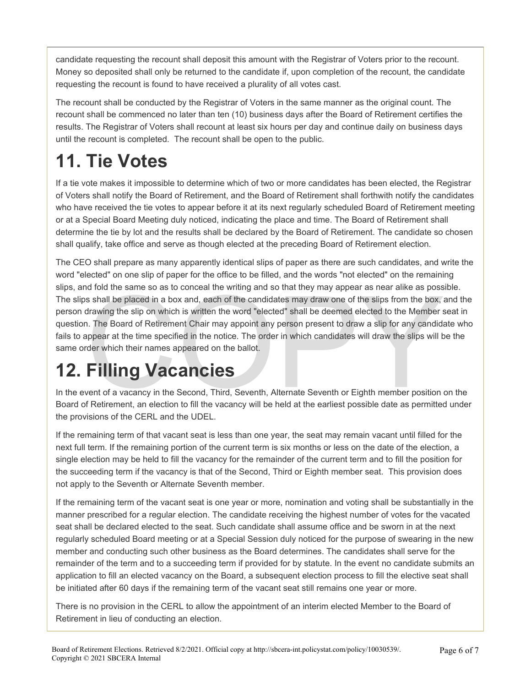candidate requesting the recount shall deposit this amount with the Registrar of Voters prior to the recount. Money so deposited shall only be returned to the candidate if, upon completion of the recount, the candidate requesting the recount is found to have received a plurality of all votes cast.

The recount shall be conducted by the Registrar of Voters in the same manner as the original count. The recount shall be commenced no later than ten (10) business days after the Board of Retirement certifies the results. The Registrar of Voters shall recount at least six hours per day and continue daily on business days until the recount is completed. The recount shall be open to the public.

# **11. Tie Votes**

If a tie vote makes it impossible to determine which of two or more candidates has been elected, the Registrar of Voters shall notify the Board of Retirement, and the Board of Retirement shall forthwith notify the candidates who have received the tie votes to appear before it at its next regularly scheduled Board of Retirement meeting or at a Special Board Meeting duly noticed, indicating the place and time. The Board of Retirement shall determine the tie by lot and the results shall be declared by the Board of Retirement. The candidate so chosen shall qualify, take office and serve as though elected at the preceding Board of Retirement election.

In the same so as to conceal the writing and so that they may appear as near alike as poss<br>s shall be placed in a box and, each of the candidates may draw one of the slips from the box, idrawing the slip on which is writte The CEO shall prepare as many apparently identical slips of paper as there are such candidates, and write the word "elected" on one slip of paper for the office to be filled, and the words "not elected" on the remaining slips, and fold the same so as to conceal the writing and so that they may appear as near alike as possible. The slips shall be placed in a box and, each of the candidates may draw one of the slips from the box, and the person drawing the slip on which is written the word "elected" shall be deemed elected to the Member seat in question. The Board of Retirement Chair may appoint any person present to draw a slip for any candidate who fails to appear at the time specified in the notice. The order in which candidates will draw the slips will be the same order which their names appeared on the ballot.

# **12. Filling Vacancies**

In the event of a vacancy in the Second, Third, Seventh, Alternate Seventh or Eighth member position on the Board of Retirement, an election to fill the vacancy will be held at the earliest possible date as permitted under the provisions of the CERL and the UDEL.

If the remaining term of that vacant seat is less than one year, the seat may remain vacant until filled for the next full term. If the remaining portion of the current term is six months or less on the date of the election, a single election may be held to fill the vacancy for the remainder of the current term and to fill the position for the succeeding term if the vacancy is that of the Second, Third or Eighth member seat. This provision does not apply to the Seventh or Alternate Seventh member.

If the remaining term of the vacant seat is one year or more, nomination and voting shall be substantially in the manner prescribed for a regular election. The candidate receiving the highest number of votes for the vacated seat shall be declared elected to the seat. Such candidate shall assume office and be sworn in at the next regularly scheduled Board meeting or at a Special Session duly noticed for the purpose of swearing in the new member and conducting such other business as the Board determines. The candidates shall serve for the remainder of the term and to a succeeding term if provided for by statute. In the event no candidate submits an application to fill an elected vacancy on the Board, a subsequent election process to fill the elective seat shall be initiated after 60 days if the remaining term of the vacant seat still remains one year or more.

There is no provision in the CERL to allow the appointment of an interim elected Member to the Board of Retirement in lieu of conducting an election.